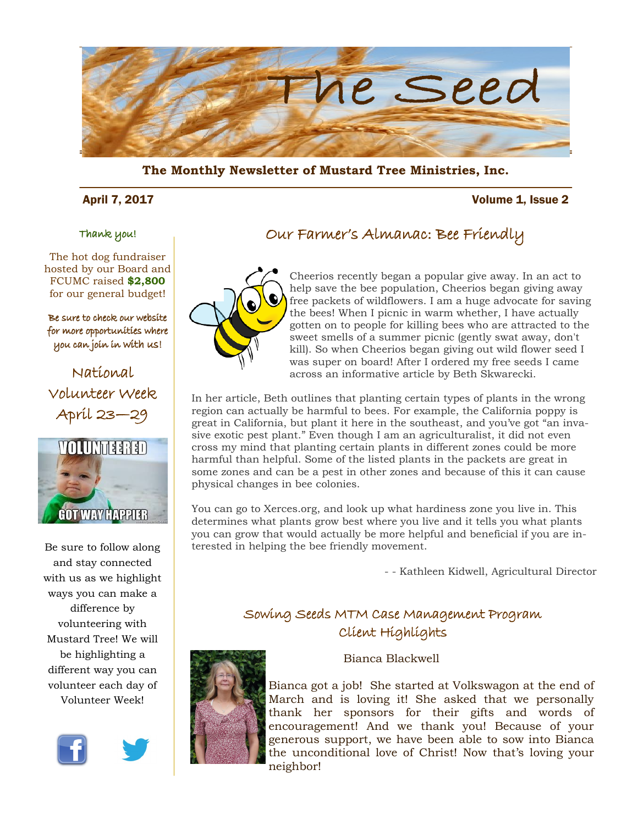

**The Monthly Newsletter of Mustard Tree Ministries, Inc.** 

### April 7, 2017 Volume 1, Issue 2

### Thank you!

The hot dog fundraiser hosted by our Board and FCUMC raised **\$2,800**  for our general budget!

#### Be sure to check our website for more opportunities where you can join in with us!

National Volunteer Week April 23—29



Be sure to follow along and stay connected with us as we highlight ways you can make a difference by volunteering with Mustard Tree! We will be highlighting a different way you can volunteer each day of Volunteer Week!









Cheerios recently began a popular give away. In an act to help save the bee population, Cheerios began giving away free packets of wildflowers. I am a huge advocate for saving the bees! When I picnic in warm whether, I have actually gotten on to people for killing bees who are attracted to the sweet smells of a summer picnic (gently swat away, don't kill). So when Cheerios began giving out wild flower seed I was super on board! After I ordered my free seeds I came across an informative article by Beth Skwarecki.

In her article, Beth outlines that planting certain types of plants in the wrong region can actually be harmful to bees. For example, the California poppy is great in California, but plant it here in the southeast, and you've got "an invasive exotic pest plant." Even though I am an agriculturalist, it did not even cross my mind that planting certain plants in different zones could be more harmful than helpful. Some of the listed plants in the packets are great in some zones and can be a pest in other zones and because of this it can cause physical changes in bee colonies.

You can go to Xerces.org, and look up what hardiness zone you live in. This determines what plants grow best where you live and it tells you what plants you can grow that would actually be more helpful and beneficial if you are interested in helping the bee friendly movement.

- - Kathleen Kidwell, Agricultural Director

### Sowing Seeds MTM Case Management Program Client Highlights



Bianca Blackwell

Bianca got a job! She started at Volkswagon at the end of March and is loving it! She asked that we personally thank her sponsors for their gifts and words of encouragement! And we thank you! Because of your generous support, we have been able to sow into Bianca the unconditional love of Christ! Now that's loving your neighbor!